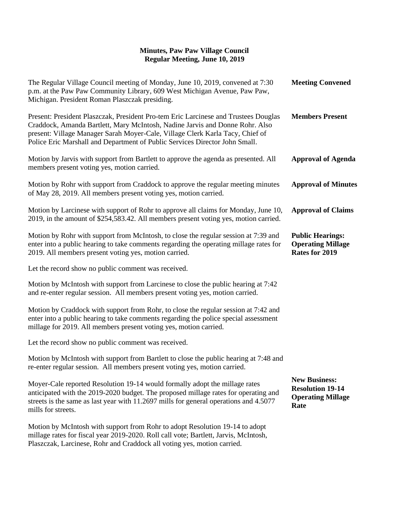| The Regular Village Council meeting of Monday, June 10, 2019, convened at 7:30<br>p.m. at the Paw Paw Community Library, 609 West Michigan Avenue, Paw Paw,<br>Michigan. President Roman Plaszczak presiding.                                                                                                                       | <b>Meeting Convened</b>                                                             |
|-------------------------------------------------------------------------------------------------------------------------------------------------------------------------------------------------------------------------------------------------------------------------------------------------------------------------------------|-------------------------------------------------------------------------------------|
| Present: President Plaszczak, President Pro-tem Eric Larcinese and Trustees Douglas<br>Craddock, Amanda Bartlett, Mary McIntosh, Nadine Jarvis and Donne Rohr. Also<br>present: Village Manager Sarah Moyer-Cale, Village Clerk Karla Tacy, Chief of<br>Police Eric Marshall and Department of Public Services Director John Small. | <b>Members Present</b>                                                              |
| Motion by Jarvis with support from Bartlett to approve the agenda as presented. All<br>members present voting yes, motion carried.                                                                                                                                                                                                  | <b>Approval of Agenda</b>                                                           |
| Motion by Rohr with support from Craddock to approve the regular meeting minutes<br>of May 28, 2019. All members present voting yes, motion carried.                                                                                                                                                                                | <b>Approval of Minutes</b>                                                          |
| Motion by Larcinese with support of Rohr to approve all claims for Monday, June 10,<br>2019, in the amount of \$254,583.42. All members present voting yes, motion carried.                                                                                                                                                         | <b>Approval of Claims</b>                                                           |
| Motion by Rohr with support from McIntosh, to close the regular session at 7:39 and<br>enter into a public hearing to take comments regarding the operating millage rates for<br>2019. All members present voting yes, motion carried.                                                                                              | <b>Public Hearings:</b><br><b>Operating Millage</b><br>Rates for 2019               |
| Let the record show no public comment was received.                                                                                                                                                                                                                                                                                 |                                                                                     |
| Motion by McIntosh with support from Larcinese to close the public hearing at 7:42<br>and re-enter regular session. All members present voting yes, motion carried.                                                                                                                                                                 |                                                                                     |
| Motion by Craddock with support from Rohr, to close the regular session at 7:42 and<br>enter into a public hearing to take comments regarding the police special assessment<br>millage for 2019. All members present voting yes, motion carried.                                                                                    |                                                                                     |
| Let the record show no public comment was received.                                                                                                                                                                                                                                                                                 |                                                                                     |
| Motion by McIntosh with support from Bartlett to close the public hearing at 7:48 and<br>re-enter regular session. All members present voting yes, motion carried.                                                                                                                                                                  |                                                                                     |
| Moyer-Cale reported Resolution 19-14 would formally adopt the millage rates<br>anticipated with the 2019-2020 budget. The proposed millage rates for operating and<br>streets is the same as last year with 11.2697 mills for general operations and 4.5077<br>mills for streets.                                                   | <b>New Business:</b><br><b>Resolution 19-14</b><br><b>Operating Millage</b><br>Rate |
| Motion by McIntosh with support from Rohr to adopt Resolution 19-14 to adopt<br>millage rates for fiscal year 2019-2020. Roll call vote; Bartlett, Jarvis, McIntosh,                                                                                                                                                                |                                                                                     |

Plaszczak, Larcinese, Rohr and Craddock all voting yes, motion carried.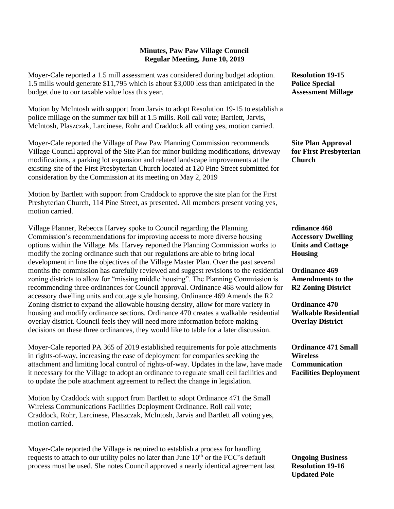Moyer-Cale reported a 1.5 mill assessment was considered during budget adoption. 1.5 mills would generate \$11,795 which is about \$3,000 less than anticipated in the budget due to our taxable value loss this year.

Motion by McIntosh with support from Jarvis to adopt Resolution 19-15 to establish a police millage on the summer tax bill at 1.5 mills. Roll call vote; Bartlett, Jarvis, McIntosh, Plaszczak, Larcinese, Rohr and Craddock all voting yes, motion carried.

Moyer-Cale reported the Village of Paw Paw Planning Commission recommends Village Council approval of the Site Plan for minor building modifications, driveway modifications, a parking lot expansion and related landscape improvements at the existing site of the First Presbyterian Church located at 120 Pine Street submitted for consideration by the Commission at its meeting on May 2, 2019

Motion by Bartlett with support from Craddock to approve the site plan for the First Presbyterian Church, 114 Pine Street, as presented. All members present voting yes, motion carried.

Village Planner, Rebecca Harvey spoke to Council regarding the Planning Commission's recommendations for improving access to more diverse housing options within the Village. Ms. Harvey reported the Planning Commission works to modify the zoning ordinance such that our regulations are able to bring local development in line the objectives of the Village Master Plan. Over the past several months the commission has carefully reviewed and suggest revisions to the residential zoning districts to allow for "missing middle housing". The Planning Commission is recommending three ordinances for Council approval. Ordinance 468 would allow for accessory dwelling units and cottage style housing. Ordinance 469 Amends the R2 Zoning district to expand the allowable housing density, allow for more variety in housing and modify ordinance sections. Ordinance 470 creates a walkable residential overlay district. Council feels they will need more information before making decisions on these three ordinances, they would like to table for a later discussion.

Moyer-Cale reported PA 365 of 2019 established requirements for pole attachments in rights-of-way, increasing the ease of deployment for companies seeking the attachment and limiting local control of rights-of-way. Updates in the law, have made it necessary for the Village to adopt an ordinance to regulate small cell facilities and to update the pole attachment agreement to reflect the change in legislation.

Motion by Craddock with support from Bartlett to adopt Ordinance 471 the Small Wireless Communications Facilities Deployment Ordinance. Roll call vote; Craddock, Rohr, Larcinese, Plaszczak, McIntosh, Jarvis and Bartlett all voting yes, motion carried.

Moyer-Cale reported the Village is required to establish a process for handling requests to attach to our utility poles no later than June  $10<sup>th</sup>$  or the FCC's default process must be used. She notes Council approved a nearly identical agreement last **Resolution 19-15 Police Special Assessment Millage**

**Site Plan Approval for First Presbyterian Church**

**rdinance 468 Accessory Dwelling Units and Cottage Housing**

**Ordinance 469 Amendments to the R2 Zoning District**

**Ordinance 470 Walkable Residential Overlay District**

**Ordinance 471 Small Wireless Communication Facilities Deployment**

**Ongoing Business Resolution 19-16 Updated Pole**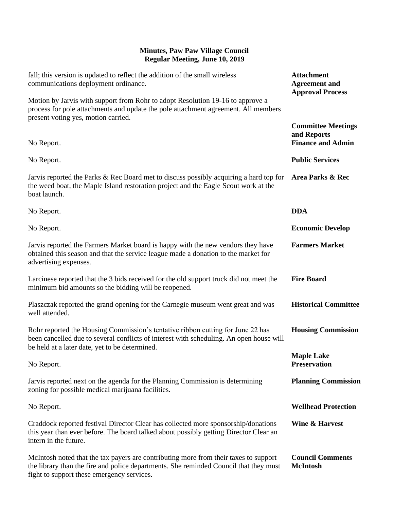| fall; this version is updated to reflect the addition of the small wireless<br>communications deployment ordinance.                                                                                                          | <b>Attachment</b><br><b>Agreement</b> and<br><b>Approval Process</b> |
|------------------------------------------------------------------------------------------------------------------------------------------------------------------------------------------------------------------------------|----------------------------------------------------------------------|
| Motion by Jarvis with support from Rohr to adopt Resolution 19-16 to approve a<br>process for pole attachments and update the pole attachment agreement. All members<br>present voting yes, motion carried.                  |                                                                      |
| No Report.                                                                                                                                                                                                                   | <b>Committee Meetings</b><br>and Reports<br><b>Finance and Admin</b> |
| No Report.                                                                                                                                                                                                                   | <b>Public Services</b>                                               |
| Jarvis reported the Parks & Rec Board met to discuss possibly acquiring a hard top for<br>the weed boat, the Maple Island restoration project and the Eagle Scout work at the<br>boat launch.                                | <b>Area Parks &amp; Rec</b>                                          |
| No Report.                                                                                                                                                                                                                   | <b>DDA</b>                                                           |
| No Report.                                                                                                                                                                                                                   | <b>Economic Develop</b>                                              |
| Jarvis reported the Farmers Market board is happy with the new vendors they have<br>obtained this season and that the service league made a donation to the market for<br>advertising expenses.                              | <b>Farmers Market</b>                                                |
| Larcinese reported that the 3 bids received for the old support truck did not meet the<br>minimum bid amounts so the bidding will be reopened.                                                                               | <b>Fire Board</b>                                                    |
| Plaszczak reported the grand opening for the Carnegie museum went great and was<br>well attended.                                                                                                                            | <b>Historical Committee</b>                                          |
| Rohr reported the Housing Commission's tentative ribbon cutting for June 22 has<br>been cancelled due to several conflicts of interest with scheduling. An open house will<br>be held at a later date, yet to be determined. | <b>Housing Commission</b>                                            |
| No Report.                                                                                                                                                                                                                   | <b>Maple Lake</b><br><b>Preservation</b>                             |
| Jarvis reported next on the agenda for the Planning Commission is determining<br>zoning for possible medical marijuana facilities.                                                                                           | <b>Planning Commission</b>                                           |
| No Report.                                                                                                                                                                                                                   | <b>Wellhead Protection</b>                                           |
| Craddock reported festival Director Clear has collected more sponsorship/donations<br>this year than ever before. The board talked about possibly getting Director Clear an<br>intern in the future.                         | Wine & Harvest                                                       |
| McIntosh noted that the tax payers are contributing more from their taxes to support<br>the library than the fire and police departments. She reminded Council that they must<br>fight to support these emergency services.  | <b>Council Comments</b><br><b>McIntosh</b>                           |